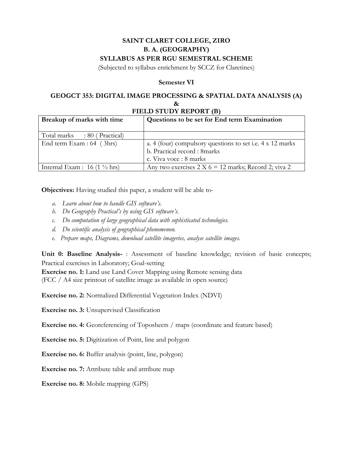# **SAINT CLARET COLLEGE, ZIRO B. A. (GEOGRAPHY) SYLLABUS AS PER RGU SEMESTRAL SCHEME**

(Subjected to syllabus enrichment by SCCZ for Claretines)

## **Semester VI**

#### **GEOGCT 353: DIGITAL IMAGE PROCESSING & SPATIAL DATA ANALYSIS (A) & FIELD STUDY REPORT (B)**

| Breakup of marks with time                      | Questions to be set for End term Examination              |
|-------------------------------------------------|-----------------------------------------------------------|
| Total marks : 80 (Practical)                    |                                                           |
| End term Exam : 64 (3hrs)                       | a. 4 (four) compulsory questions to set i.e. 4 x 12 marks |
|                                                 | b. Practical record: 8marks                               |
|                                                 | c. Viva voce : 8 marks                                    |
| Internal Exam : $16(1 \frac{1}{2} \text{ hrs})$ | Any two exercises $2 X 6 = 12$ marks; Record 2; viva 2    |

**Objectives:** Having studied this paper, a student will be able to-

- *a. Learn about how to handle GIS software's.*
- *b. Do Geography Practical's by using GIS software's.*
- *c. Do computation of large geographical data with sophisticated technologies.*
- *d. Do scientific analysis of geographical phenomenon.*
- *e. Prepare maps, Diagrams, download satellite imageries, analyse satellite images.*

**Unit 0: Baseline Analysis-** : Assessment of baseline knowledge; revision of basic concepts; Practical exercises in Laboratory; Goal-setting

**Exercise no. 1:** Land use Land Cover Mapping using Remote sensing data (FCC / A4 size printout of satellite image as available in open source)

**Exercise no. 2:** Normalized Differential Vegetation Index (NDVI)

**Exercise no. 3:** Unsupervised Classification

**Exercise no. 4:** Georeferencing of Toposheets / maps (coordinate and feature based)

**Exercise no. 5:** Digitization of Point, line and polygon

**Exercise no. 6:** Buffer analysis (point, line, polygon)

**Exercise no. 7:** Attribute table and attribute map

**Exercise no. 8:** Mobile mapping (GPS)